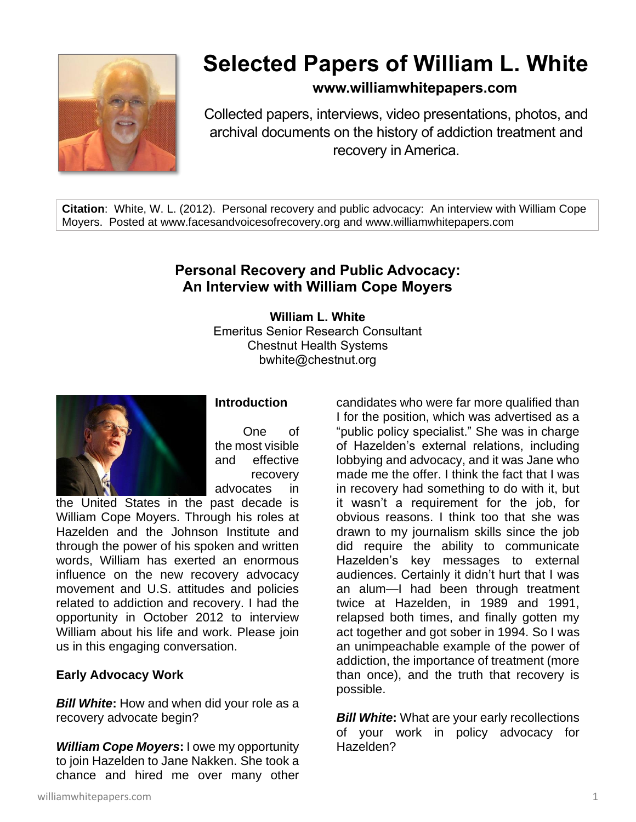

# **Selected Papers of William L. White**

## **www.williamwhitepapers.com**

Collected papers, interviews, video presentations, photos, and archival documents on the history of addiction treatment and recovery in America.

**Citation**: White, W. L. (2012). Personal recovery and public advocacy: An interview with William Cope Moyers. Posted at www.facesandvoicesofrecovery.org and www.williamwhitepapers.com

## **Personal Recovery and Public Advocacy: An Interview with William Cope Moyers**

**William L. White** Emeritus Senior Research Consultant Chestnut Health Systems bwhite@chestnut.org



### **Introduction**

One of the most visible and effective recovery advocates in

the United States in the past decade is William Cope Moyers. Through his roles at Hazelden and the Johnson Institute and through the power of his spoken and written words, William has exerted an enormous influence on the new recovery advocacy movement and U.S. attitudes and policies related to addiction and recovery. I had the opportunity in October 2012 to interview William about his life and work. Please join us in this engaging conversation.

#### **Early Advocacy Work**

*Bill White***:** How and when did your role as a recovery advocate begin?

*William Cope Moyers***:** I owe my opportunity to join Hazelden to Jane Nakken. She took a chance and hired me over many other

candidates who were far more qualified than I for the position, which was advertised as a "public policy specialist." She was in charge of Hazelden's external relations, including lobbying and advocacy, and it was Jane who made me the offer. I think the fact that I was in recovery had something to do with it, but it wasn't a requirement for the job, for obvious reasons. I think too that she was drawn to my journalism skills since the job did require the ability to communicate Hazelden's key messages to external audiences. Certainly it didn't hurt that I was an alum—I had been through treatment twice at Hazelden, in 1989 and 1991, relapsed both times, and finally gotten my act together and got sober in 1994. So I was an unimpeachable example of the power of addiction, the importance of treatment (more than once), and the truth that recovery is possible.

**Bill White:** What are your early recollections of your work in policy advocacy for Hazelden?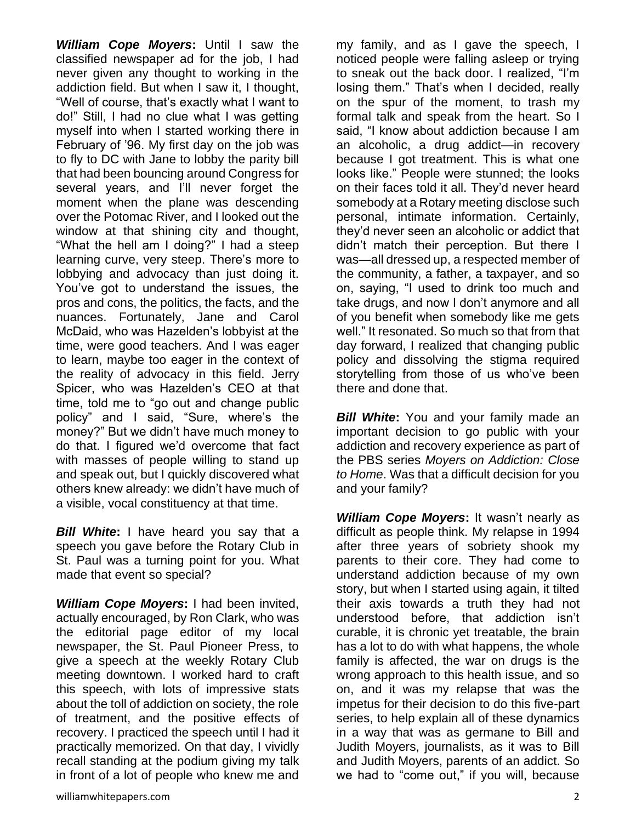*William Cope Moyers***:** Until I saw the classified newspaper ad for the job, I had never given any thought to working in the addiction field. But when I saw it, I thought, "Well of course, that's exactly what I want to do!" Still, I had no clue what I was getting myself into when I started working there in February of '96. My first day on the job was to fly to DC with Jane to lobby the parity bill that had been bouncing around Congress for several years, and I'll never forget the moment when the plane was descending over the Potomac River, and I looked out the window at that shining city and thought, "What the hell am I doing?" I had a steep learning curve, very steep. There's more to lobbying and advocacy than just doing it. You've got to understand the issues, the pros and cons, the politics, the facts, and the nuances. Fortunately, Jane and Carol McDaid, who was Hazelden's lobbyist at the time, were good teachers. And I was eager to learn, maybe too eager in the context of the reality of advocacy in this field. Jerry Spicer, who was Hazelden's CEO at that time, told me to "go out and change public policy" and I said, "Sure, where's the money?" But we didn't have much money to do that. I figured we'd overcome that fact with masses of people willing to stand up and speak out, but I quickly discovered what others knew already: we didn't have much of a visible, vocal constituency at that time.

*Bill White***:** I have heard you say that a speech you gave before the Rotary Club in St. Paul was a turning point for you. What made that event so special?

*William Cope Moyers***:** I had been invited, actually encouraged, by Ron Clark, who was the editorial page editor of my local newspaper, the St. Paul Pioneer Press, to give a speech at the weekly Rotary Club meeting downtown. I worked hard to craft this speech, with lots of impressive stats about the toll of addiction on society, the role of treatment, and the positive effects of recovery. I practiced the speech until I had it practically memorized. On that day, I vividly recall standing at the podium giving my talk in front of a lot of people who knew me and my family, and as I gave the speech, I noticed people were falling asleep or trying to sneak out the back door. I realized, "I'm losing them." That's when I decided, really on the spur of the moment, to trash my formal talk and speak from the heart. So I said, "I know about addiction because I am an alcoholic, a drug addict—in recovery because I got treatment. This is what one looks like." People were stunned; the looks on their faces told it all. They'd never heard somebody at a Rotary meeting disclose such personal, intimate information. Certainly, they'd never seen an alcoholic or addict that didn't match their perception. But there I was—all dressed up, a respected member of the community, a father, a taxpayer, and so on, saying, "I used to drink too much and take drugs, and now I don't anymore and all of you benefit when somebody like me gets well." It resonated. So much so that from that day forward, I realized that changing public policy and dissolving the stigma required storytelling from those of us who've been there and done that.

**Bill White:** You and your family made an important decision to go public with your addiction and recovery experience as part of the PBS series *Moyers on Addiction: Close to Home*. Was that a difficult decision for you and your family?

*William Cope Moyers***:** It wasn't nearly as difficult as people think. My relapse in 1994 after three years of sobriety shook my parents to their core. They had come to understand addiction because of my own story, but when I started using again, it tilted their axis towards a truth they had not understood before, that addiction isn't curable, it is chronic yet treatable, the brain has a lot to do with what happens, the whole family is affected, the war on drugs is the wrong approach to this health issue, and so on, and it was my relapse that was the impetus for their decision to do this five-part series, to help explain all of these dynamics in a way that was as germane to Bill and Judith Moyers, journalists, as it was to Bill and Judith Moyers, parents of an addict. So we had to "come out," if you will, because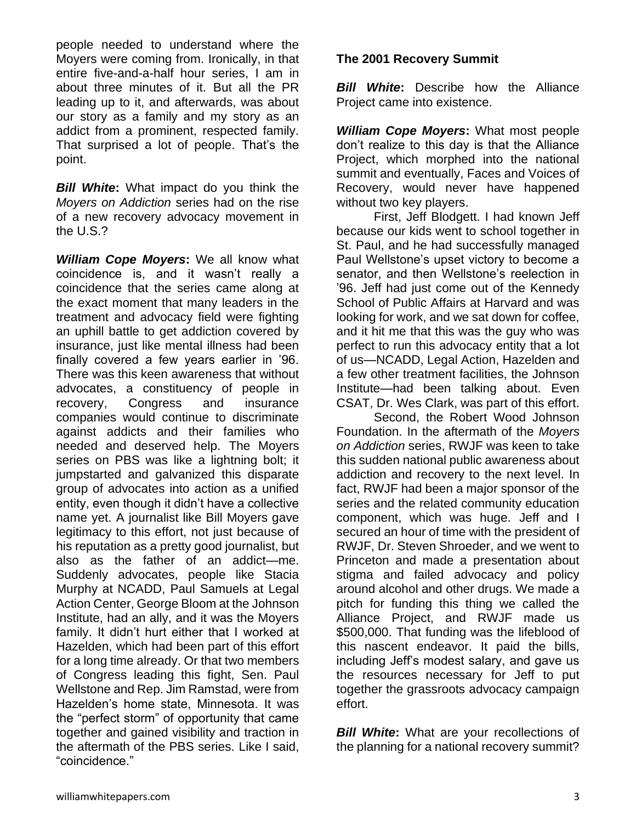people needed to understand where the Moyers were coming from. Ironically, in that entire five-and-a-half hour series, I am in about three minutes of it. But all the PR leading up to it, and afterwards, was about our story as a family and my story as an addict from a prominent, respected family. That surprised a lot of people. That's the point.

*Bill White***:** What impact do you think the *Moyers on Addiction* series had on the rise of a new recovery advocacy movement in the U.S.?

*William Cope Moyers***:** We all know what coincidence is, and it wasn't really a coincidence that the series came along at the exact moment that many leaders in the treatment and advocacy field were fighting an uphill battle to get addiction covered by insurance, just like mental illness had been finally covered a few years earlier in '96. There was this keen awareness that without advocates, a constituency of people in recovery, Congress and insurance companies would continue to discriminate against addicts and their families who needed and deserved help. The Moyers series on PBS was like a lightning bolt; it jumpstarted and galvanized this disparate group of advocates into action as a unified entity, even though it didn't have a collective name yet. A journalist like Bill Moyers gave legitimacy to this effort, not just because of his reputation as a pretty good journalist, but also as the father of an addict—me. Suddenly advocates, people like Stacia Murphy at NCADD, Paul Samuels at Legal Action Center, George Bloom at the Johnson Institute, had an ally, and it was the Moyers family. It didn't hurt either that I worked at Hazelden, which had been part of this effort for a long time already. Or that two members of Congress leading this fight, Sen. Paul Wellstone and Rep. Jim Ramstad, were from Hazelden's home state, Minnesota. It was the "perfect storm" of opportunity that came together and gained visibility and traction in the aftermath of the PBS series. Like I said, "coincidence."

#### **The 2001 Recovery Summit**

*Bill White***:** Describe how the Alliance Project came into existence.

*William Cope Moyers***:** What most people don't realize to this day is that the Alliance Project, which morphed into the national summit and eventually, Faces and Voices of Recovery, would never have happened without two key players.

First, Jeff Blodgett. I had known Jeff because our kids went to school together in St. Paul, and he had successfully managed Paul Wellstone's upset victory to become a senator, and then Wellstone's reelection in '96. Jeff had just come out of the Kennedy School of Public Affairs at Harvard and was looking for work, and we sat down for coffee, and it hit me that this was the guy who was perfect to run this advocacy entity that a lot of us—NCADD, Legal Action, Hazelden and a few other treatment facilities, the Johnson Institute—had been talking about. Even CSAT, Dr. Wes Clark, was part of this effort.

Second, the Robert Wood Johnson Foundation. In the aftermath of the *Moyers on Addiction* series, RWJF was keen to take this sudden national public awareness about addiction and recovery to the next level. In fact, RWJF had been a major sponsor of the series and the related community education component, which was huge. Jeff and I secured an hour of time with the president of RWJF, Dr. Steven Shroeder, and we went to Princeton and made a presentation about stigma and failed advocacy and policy around alcohol and other drugs. We made a pitch for funding this thing we called the Alliance Project, and RWJF made us \$500,000. That funding was the lifeblood of this nascent endeavor. It paid the bills, including Jeff's modest salary, and gave us the resources necessary for Jeff to put together the grassroots advocacy campaign effort.

*Bill White:* What are your recollections of the planning for a national recovery summit?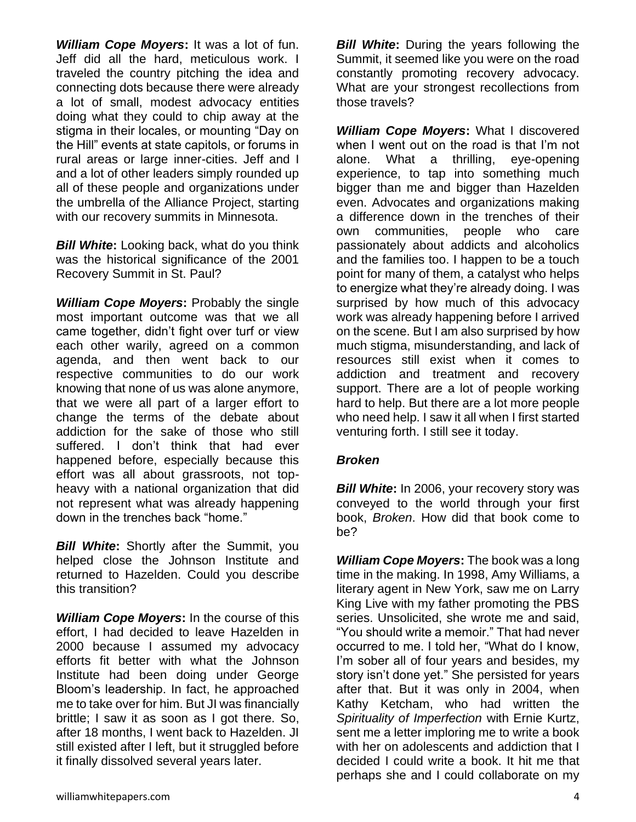*William Cope Moyers***:** It was a lot of fun. Jeff did all the hard, meticulous work. I traveled the country pitching the idea and connecting dots because there were already a lot of small, modest advocacy entities doing what they could to chip away at the stigma in their locales, or mounting "Day on the Hill" events at state capitols, or forums in rural areas or large inner-cities. Jeff and I and a lot of other leaders simply rounded up all of these people and organizations under the umbrella of the Alliance Project, starting with our recovery summits in Minnesota.

*Bill White***:** Looking back, what do you think was the historical significance of the 2001 Recovery Summit in St. Paul?

*William Cope Moyers***:** Probably the single most important outcome was that we all came together, didn't fight over turf or view each other warily, agreed on a common agenda, and then went back to our respective communities to do our work knowing that none of us was alone anymore, that we were all part of a larger effort to change the terms of the debate about addiction for the sake of those who still suffered. I don't think that had ever happened before, especially because this effort was all about grassroots, not topheavy with a national organization that did not represent what was already happening down in the trenches back "home."

*Bill White***:** Shortly after the Summit, you helped close the Johnson Institute and returned to Hazelden. Could you describe this transition?

*William Cope Moyers***:** In the course of this effort, I had decided to leave Hazelden in 2000 because I assumed my advocacy efforts fit better with what the Johnson Institute had been doing under George Bloom's leadership. In fact, he approached me to take over for him. But JI was financially brittle; I saw it as soon as I got there. So, after 18 months, I went back to Hazelden. JI still existed after I left, but it struggled before it finally dissolved several years later.

*Bill White***:** During the years following the Summit, it seemed like you were on the road constantly promoting recovery advocacy. What are your strongest recollections from those travels?

*William Cope Moyers***:** What I discovered when I went out on the road is that I'm not alone. What a thrilling, eye-opening experience, to tap into something much bigger than me and bigger than Hazelden even. Advocates and organizations making a difference down in the trenches of their own communities, people who care passionately about addicts and alcoholics and the families too. I happen to be a touch point for many of them, a catalyst who helps to energize what they're already doing. I was surprised by how much of this advocacy work was already happening before I arrived on the scene. But I am also surprised by how much stigma, misunderstanding, and lack of resources still exist when it comes to addiction and treatment and recovery support. There are a lot of people working hard to help. But there are a lot more people who need help. I saw it all when I first started venturing forth. I still see it today.

#### *Broken*

*Bill White*: In 2006, your recovery story was conveyed to the world through your first book, *Broken*. How did that book come to be?

*William Cope Moyers***:** The book was a long time in the making. In 1998, Amy Williams, a literary agent in New York, saw me on Larry King Live with my father promoting the PBS series. Unsolicited, she wrote me and said, "You should write a memoir." That had never occurred to me. I told her, "What do I know, I'm sober all of four years and besides, my story isn't done yet." She persisted for years after that. But it was only in 2004, when Kathy Ketcham, who had written the *Spirituality of Imperfection* with Ernie Kurtz, sent me a letter imploring me to write a book with her on adolescents and addiction that I decided I could write a book. It hit me that perhaps she and I could collaborate on my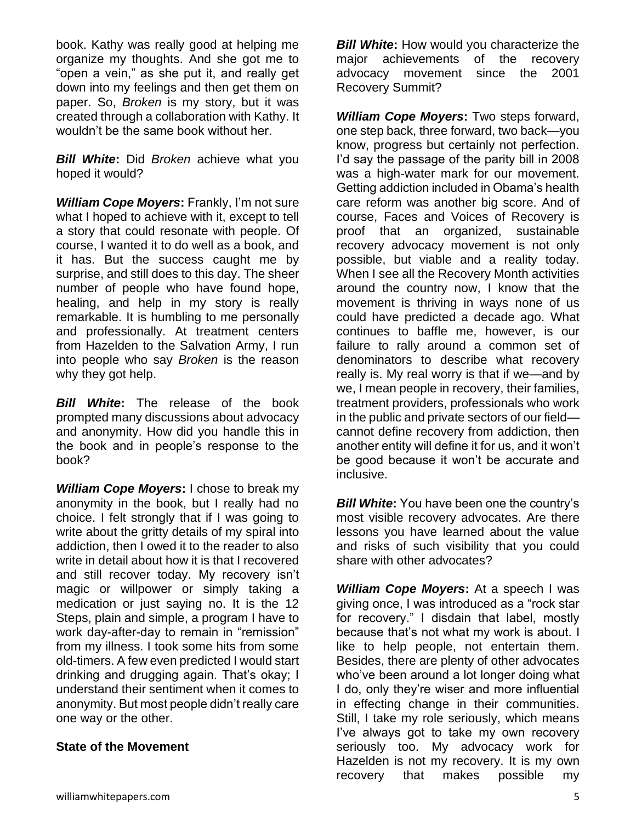book. Kathy was really good at helping me organize my thoughts. And she got me to "open a vein," as she put it, and really get down into my feelings and then get them on paper. So, *Broken* is my story, but it was created through a collaboration with Kathy. It wouldn't be the same book without her.

*Bill White***:** Did *Broken* achieve what you hoped it would?

*William Cope Moyers***:** Frankly, I'm not sure what I hoped to achieve with it, except to tell a story that could resonate with people. Of course, I wanted it to do well as a book, and it has. But the success caught me by surprise, and still does to this day. The sheer number of people who have found hope, healing, and help in my story is really remarkable. It is humbling to me personally and professionally. At treatment centers from Hazelden to the Salvation Army, I run into people who say *Broken* is the reason why they got help.

*Bill White***:** The release of the book prompted many discussions about advocacy and anonymity. How did you handle this in the book and in people's response to the book?

*William Cope Moyers***:** I chose to break my anonymity in the book, but I really had no choice. I felt strongly that if I was going to write about the gritty details of my spiral into addiction, then I owed it to the reader to also write in detail about how it is that I recovered and still recover today. My recovery isn't magic or willpower or simply taking a medication or just saying no. It is the 12 Steps, plain and simple, a program I have to work day-after-day to remain in "remission" from my illness. I took some hits from some old-timers. A few even predicted I would start drinking and drugging again. That's okay; I understand their sentiment when it comes to anonymity. But most people didn't really care one way or the other.

#### **State of the Movement**

*Bill White***:** How would you characterize the major achievements of the recovery advocacy movement since the 2001 Recovery Summit?

*William Cope Moyers***:** Two steps forward, one step back, three forward, two back—you know, progress but certainly not perfection. I'd say the passage of the parity bill in 2008 was a high-water mark for our movement. Getting addiction included in Obama's health care reform was another big score. And of course, Faces and Voices of Recovery is proof that an organized, sustainable recovery advocacy movement is not only possible, but viable and a reality today. When I see all the Recovery Month activities around the country now, I know that the movement is thriving in ways none of us could have predicted a decade ago. What continues to baffle me, however, is our failure to rally around a common set of denominators to describe what recovery really is. My real worry is that if we—and by we, I mean people in recovery, their families, treatment providers, professionals who work in the public and private sectors of our field cannot define recovery from addiction, then another entity will define it for us, and it won't be good because it won't be accurate and inclusive.

*Bill White***:** You have been one the country's most visible recovery advocates. Are there lessons you have learned about the value and risks of such visibility that you could share with other advocates?

*William Cope Moyers***:** At a speech I was giving once, I was introduced as a "rock star for recovery." I disdain that label, mostly because that's not what my work is about. I like to help people, not entertain them. Besides, there are plenty of other advocates who've been around a lot longer doing what I do, only they're wiser and more influential in effecting change in their communities. Still, I take my role seriously, which means I've always got to take my own recovery seriously too. My advocacy work for Hazelden is not my recovery. It is my own recovery that makes possible my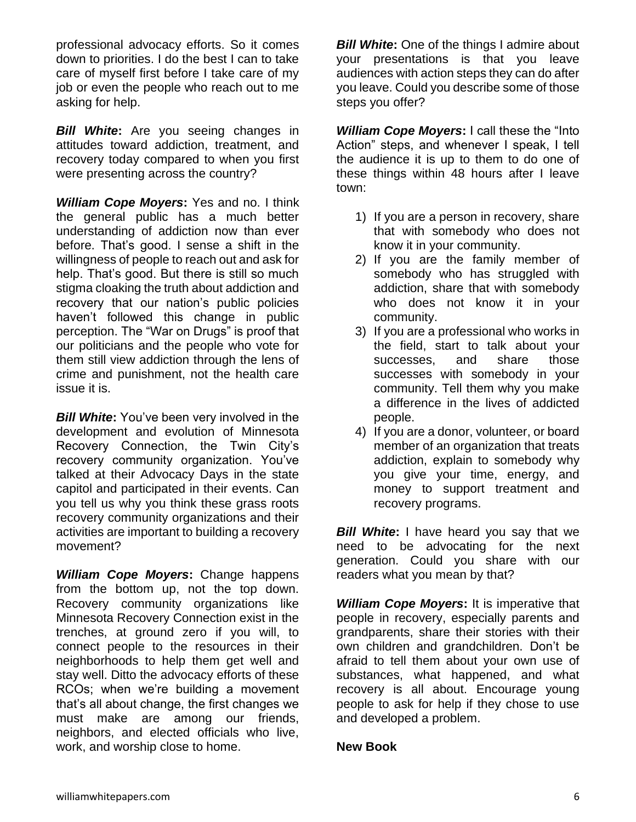professional advocacy efforts. So it comes down to priorities. I do the best I can to take care of myself first before I take care of my job or even the people who reach out to me asking for help.

*Bill White***:** Are you seeing changes in attitudes toward addiction, treatment, and recovery today compared to when you first were presenting across the country?

*William Cope Moyers***:** Yes and no. I think the general public has a much better understanding of addiction now than ever before. That's good. I sense a shift in the willingness of people to reach out and ask for help. That's good. But there is still so much stigma cloaking the truth about addiction and recovery that our nation's public policies haven't followed this change in public perception. The "War on Drugs" is proof that our politicians and the people who vote for them still view addiction through the lens of crime and punishment, not the health care issue it is.

*Bill White***:** You've been very involved in the development and evolution of Minnesota Recovery Connection, the Twin City's recovery community organization. You've talked at their Advocacy Days in the state capitol and participated in their events. Can you tell us why you think these grass roots recovery community organizations and their activities are important to building a recovery movement?

*William Cope Moyers***:** Change happens from the bottom up, not the top down. Recovery community organizations like Minnesota Recovery Connection exist in the trenches, at ground zero if you will, to connect people to the resources in their neighborhoods to help them get well and stay well. Ditto the advocacy efforts of these RCOs; when we're building a movement that's all about change, the first changes we must make are among our friends, neighbors, and elected officials who live, work, and worship close to home.

*Bill White:* One of the things I admire about your presentations is that you leave audiences with action steps they can do after you leave. Could you describe some of those steps you offer?

**William Cope Moyers:** I call these the "Into" Action" steps, and whenever I speak, I tell the audience it is up to them to do one of these things within 48 hours after I leave town:

- 1) If you are a person in recovery, share that with somebody who does not know it in your community.
- 2) If you are the family member of somebody who has struggled with addiction, share that with somebody who does not know it in your community.
- 3) If you are a professional who works in the field, start to talk about your successes, and share those successes with somebody in your community. Tell them why you make a difference in the lives of addicted people.
- 4) If you are a donor, volunteer, or board member of an organization that treats addiction, explain to somebody why you give your time, energy, and money to support treatment and recovery programs.

**Bill White:** I have heard you say that we need to be advocating for the next generation. Could you share with our readers what you mean by that?

*William Cope Moyers***:** It is imperative that people in recovery, especially parents and grandparents, share their stories with their own children and grandchildren. Don't be afraid to tell them about your own use of substances, what happened, and what recovery is all about. Encourage young people to ask for help if they chose to use and developed a problem.

#### **New Book**